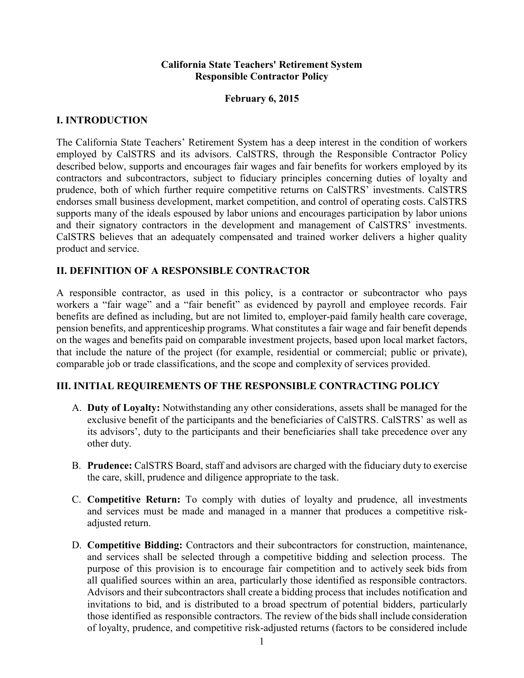### **California State Teachers' Retirement System Responsible Contractor Policy**

### **February 6, 2015**

### **I. INTRODUCTION**

The California State Teachers' Retirement System has a deep interest in the condition of workers employed by CalSTRS and its advisors. CalSTRS, through the Responsible Contractor Policy described below, supports and encourages fair wages and fair benefits for workers employed by its contractors and subcontractors, subject to fiduciary principles concerning duties of loyalty and prudence, both of which further require competitive returns on CalSTRS' investments. CalSTRS endorses small business development, market competition, and control of operating costs. CalSTRS supports many of the ideals espoused by labor unions and encourages participation by labor unions and their signatory contractors in the development and management of CalSTRS' investments. CalSTRS believes that an adequately compensated and trained worker delivers a higher quality product and service.

## **II. DEFINITION OF A RESPONSIBLE CONTRACTOR**

A responsible contractor, as used in this policy, is a contractor or subcontractor who pays workers a "fair wage" and a "fair benefit" as evidenced by payroll and employee records. Fair benefits are defined as including, but are not limited to, employer-paid family health care coverage, pension benefits, and apprenticeship programs. What constitutes a fair wage and fair benefit depends on the wages and benefits paid on comparable investment projects, based upon local market factors, that include the nature of the project (for example, residential or commercial; public or private), comparable job or trade classifications, and the scope and complexity of services provided.

### **III. INITIAL REQUIREMENTS OF THE RESPONSIBLE CONTRACTING POLICY**

- A. **Duty of Loyalty:** Notwithstanding any other considerations, assets shall be managed for the exclusive benefit of the participants and the beneficiaries of CalSTRS. CalSTRS' as well as its advisors', duty to the participants and their beneficiaries shall take precedence over any other duty.
- B. **Prudence:** CalSTRS Board, staff and advisors are charged with the fiduciary duty to exercise the care, skill, prudence and diligence appropriate to the task.
- C. **Competitive Return:** To comply with duties of loyalty and prudence, all investments and services must be made and managed in a manner that produces a competitive riskadjusted return.
- D. **Competitive Bidding:** Contractors and their subcontractors for construction, maintenance, and services shall be selected through a competitive bidding and selection process. The purpose of this provision is to encourage fair competition and to actively seek bids from all qualified sources within an area, particularly those identified as responsible contractors. Advisors and their subcontractors shall create a bidding process that includes notification and invitations to bid, and is distributed to a broad spectrum of potential bidders, particularly those identified as responsible contractors. The review of the bidsshall include consideration of loyalty, prudence, and competitive risk-adjusted returns (factors to be considered include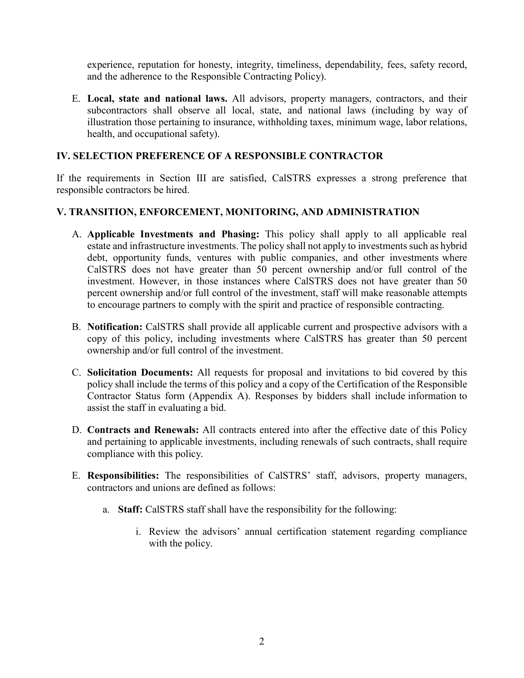experience, reputation for honesty, integrity, timeliness, dependability, fees, safety record, and the adherence to the Responsible Contracting Policy).

E. **Local, state and national laws.** All advisors, property managers, contractors, and their subcontractors shall observe all local, state, and national laws (including by way of illustration those pertaining to insurance, withholding taxes, minimum wage, labor relations, health, and occupational safety).

## **IV. SELECTION PREFERENCE OF A RESPONSIBLE CONTRACTOR**

If the requirements in Section III are satisfied, CalSTRS expresses a strong preference that responsible contractors be hired.

# **V. TRANSITION, ENFORCEMENT, MONITORING, AND ADMINISTRATION**

- A. **Applicable Investments and Phasing:** This policy shall apply to all applicable real estate and infrastructure investments. The policy shall not apply to investments such as hybrid debt, opportunity funds, ventures with public companies, and other investments where CalSTRS does not have greater than 50 percent ownership and/or full control of the investment. However, in those instances where CalSTRS does not have greater than 50 percent ownership and/or full control of the investment, staff will make reasonable attempts to encourage partners to comply with the spirit and practice of responsible contracting.
- B. **Notification:** CalSTRS shall provide all applicable current and prospective advisors with a copy of this policy, including investments where CalSTRS has greater than 50 percent ownership and/or full control of the investment.
- C. **Solicitation Documents:** All requests for proposal and invitations to bid covered by this policy shall include the terms of this policy and a copy of the Certification of the Responsible Contractor Status form (Appendix A). Responses by bidders shall include information to assist the staff in evaluating a bid.
- D. **Contracts and Renewals:** All contracts entered into after the effective date of this Policy and pertaining to applicable investments, including renewals of such contracts, shall require compliance with this policy.
- E. **Responsibilities:** The responsibilities of CalSTRS' staff, advisors, property managers, contractors and unions are defined as follows:
	- a. **Staff:** CalSTRS staff shall have the responsibility for the following:
		- i. Review the advisors' annual certification statement regarding compliance with the policy.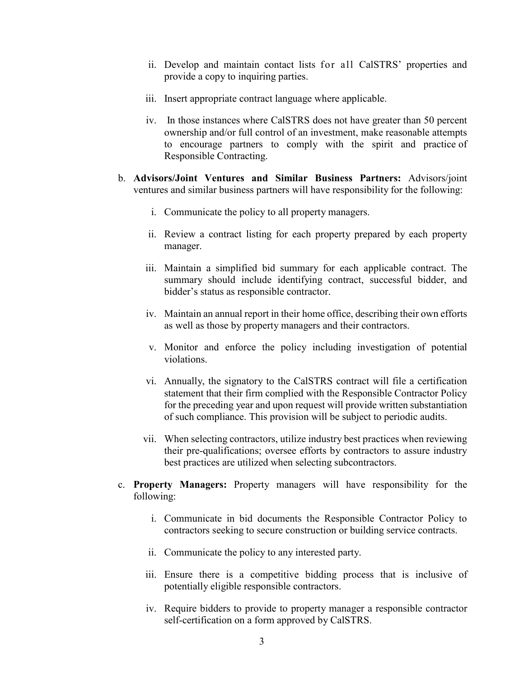- ii. Develop and maintain contact lists for all CalSTRS' properties and provide a copy to inquiring parties.
- iii. Insert appropriate contract language where applicable.
- iv. In those instances where CalSTRS does not have greater than 50 percent ownership and/or full control of an investment, make reasonable attempts to encourage partners to comply with the spirit and practice of Responsible Contracting.
- b. **Advisors/Joint Ventures and Similar Business Partners:** Advisors/joint ventures and similar business partners will have responsibility for the following:
	- i. Communicate the policy to all property managers.
	- ii. Review a contract listing for each property prepared by each property manager.
	- iii. Maintain a simplified bid summary for each applicable contract. The summary should include identifying contract, successful bidder, and bidder's status as responsible contractor.
	- iv. Maintain an annual report in their home office, describing their own efforts as well as those by property managers and their contractors.
	- v. Monitor and enforce the policy including investigation of potential violations.
	- vi. Annually, the signatory to the CalSTRS contract will file a certification statement that their firm complied with the Responsible Contractor Policy for the preceding year and upon request will provide written substantiation of such compliance. This provision will be subject to periodic audits.
	- vii. When selecting contractors, utilize industry best practices when reviewing their pre-qualifications; oversee efforts by contractors to assure industry best practices are utilized when selecting subcontractors.
- c. **Property Managers:** Property managers will have responsibility for the following:
	- i. Communicate in bid documents the Responsible Contractor Policy to contractors seeking to secure construction or building service contracts.
	- ii. Communicate the policy to any interested party.
	- iii. Ensure there is a competitive bidding process that is inclusive of potentially eligible responsible contractors.
	- iv. Require bidders to provide to property manager a responsible contractor self-certification on a form approved by CalSTRS.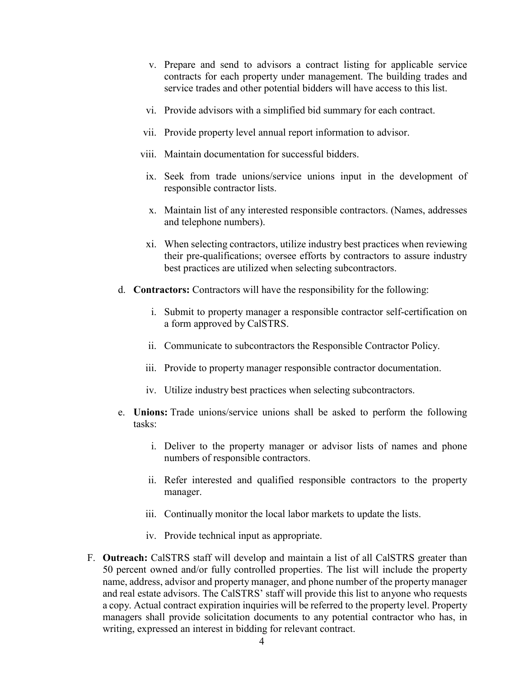- v. Prepare and send to advisors a contract listing for applicable service contracts for each property under management. The building trades and service trades and other potential bidders will have access to this list.
- vi. Provide advisors with a simplified bid summary for each contract.
- vii. Provide property level annual report information to advisor.
- viii. Maintain documentation for successful bidders.
- ix. Seek from trade unions/service unions input in the development of responsible contractor lists.
- x. Maintain list of any interested responsible contractors. (Names, addresses and telephone numbers).
- xi. When selecting contractors, utilize industry best practices when reviewing their pre-qualifications; oversee efforts by contractors to assure industry best practices are utilized when selecting subcontractors.
- d. **Contractors:** Contractors will have the responsibility for the following:
	- i. Submit to property manager a responsible contractor self-certification on a form approved by CalSTRS.
	- ii. Communicate to subcontractors the Responsible Contractor Policy.
	- iii. Provide to property manager responsible contractor documentation.
	- iv. Utilize industry best practices when selecting subcontractors.
- e. **Unions:** Trade unions/service unions shall be asked to perform the following tasks:
	- i. Deliver to the property manager or advisor lists of names and phone numbers of responsible contractors.
	- ii. Refer interested and qualified responsible contractors to the property manager.
	- iii. Continually monitor the local labor markets to update the lists.
	- iv. Provide technical input as appropriate.
- F. **Outreach:** CalSTRS staff will develop and maintain a list of all CalSTRS greater than 50 percent owned and/or fully controlled properties. The list will include the property name, address, advisor and property manager, and phone number of the property manager and real estate advisors. The CalSTRS' staff will provide this list to anyone who requests a copy. Actual contract expiration inquiries will be referred to the property level. Property managers shall provide solicitation documents to any potential contractor who has, in writing, expressed an interest in bidding for relevant contract.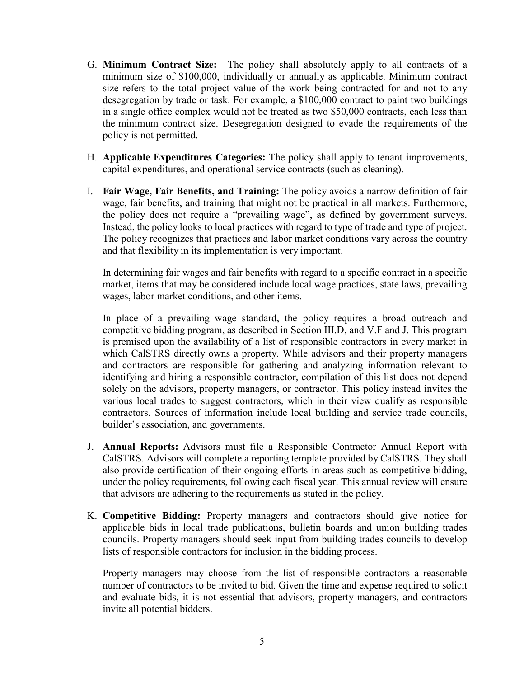- G. **Minimum Contract Size:** The policy shall absolutely apply to all contracts of a minimum size of \$100,000, individually or annually as applicable. Minimum contract size refers to the total project value of the work being contracted for and not to any desegregation by trade or task. For example, a \$100,000 contract to paint two buildings in a single office complex would not be treated as two \$50,000 contracts, each less than the minimum contract size. Desegregation designed to evade the requirements of the policy is not permitted.
- H. **Applicable Expenditures Categories:** The policy shall apply to tenant improvements, capital expenditures, and operational service contracts (such as cleaning).
- I. **Fair Wage, Fair Benefits, and Training:** The policy avoids a narrow definition of fair wage, fair benefits, and training that might not be practical in all markets. Furthermore, the policy does not require a "prevailing wage", as defined by government surveys. Instead, the policy looks to local practices with regard to type of trade and type of project. The policy recognizes that practices and labor market conditions vary across the country and that flexibility in its implementation is very important.

In determining fair wages and fair benefits with regard to a specific contract in a specific market, items that may be considered include local wage practices, state laws, prevailing wages, labor market conditions, and other items.

In place of a prevailing wage standard, the policy requires a broad outreach and competitive bidding program, as described in Section III.D, and V.F and J. This program is premised upon the availability of a list of responsible contractors in every market in which CalSTRS directly owns a property. While advisors and their property managers and contractors are responsible for gathering and analyzing information relevant to identifying and hiring a responsible contractor, compilation of this list does not depend solely on the advisors, property managers, or contractor. This policy instead invites the various local trades to suggest contractors, which in their view qualify as responsible contractors. Sources of information include local building and service trade councils, builder's association, and governments.

- J. **Annual Reports:** Advisors must file a Responsible Contractor Annual Report with CalSTRS. Advisors will complete a reporting template provided by CalSTRS. They shall also provide certification of their ongoing efforts in areas such as competitive bidding, under the policy requirements, following each fiscal year. This annual review will ensure that advisors are adhering to the requirements as stated in the policy.
- K. **Competitive Bidding:** Property managers and contractors should give notice for applicable bids in local trade publications, bulletin boards and union building trades councils. Property managers should seek input from building trades councils to develop lists of responsible contractors for inclusion in the bidding process.

Property managers may choose from the list of responsible contractors a reasonable number of contractors to be invited to bid. Given the time and expense required to solicit and evaluate bids, it is not essential that advisors, property managers, and contractors invite all potential bidders.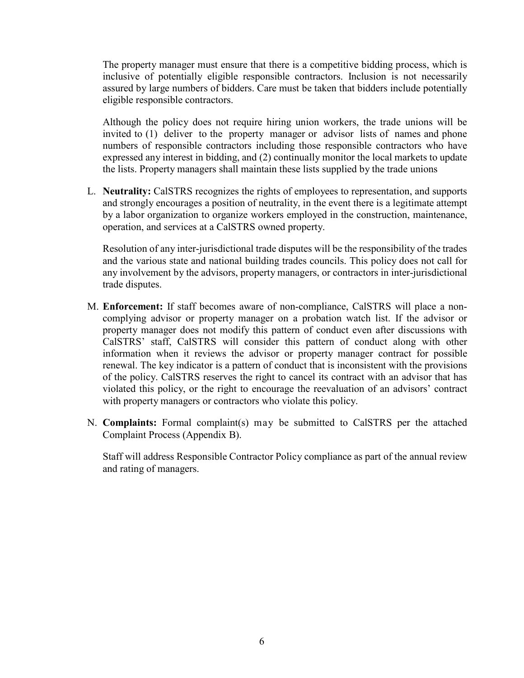The property manager must ensure that there is a competitive bidding process, which is inclusive of potentially eligible responsible contractors. Inclusion is not necessarily assured by large numbers of bidders. Care must be taken that bidders include potentially eligible responsible contractors.

Although the policy does not require hiring union workers, the trade unions will be invited to (1) deliver to the property manager or advisor lists of names and phone numbers of responsible contractors including those responsible contractors who have expressed any interest in bidding, and (2) continually monitor the local markets to update the lists. Property managers shall maintain these lists supplied by the trade unions

L. **Neutrality:** CalSTRS recognizes the rights of employees to representation, and supports and strongly encourages a position of neutrality, in the event there is a legitimate attempt by a labor organization to organize workers employed in the construction, maintenance, operation, and services at a CalSTRS owned property.

Resolution of any inter-jurisdictional trade disputes will be the responsibility of the trades and the various state and national building trades councils. This policy does not call for any involvement by the advisors, property managers, or contractors in inter-jurisdictional trade disputes.

- M. **Enforcement:** If staff becomes aware of non-compliance, CalSTRS will place a noncomplying advisor or property manager on a probation watch list. If the advisor or property manager does not modify this pattern of conduct even after discussions with CalSTRS' staff, CalSTRS will consider this pattern of conduct along with other information when it reviews the advisor or property manager contract for possible renewal. The key indicator is a pattern of conduct that is inconsistent with the provisions of the policy. CalSTRS reserves the right to cancel its contract with an advisor that has violated this policy, or the right to encourage the reevaluation of an advisors' contract with property managers or contractors who violate this policy.
- N. **Complaints:** Formal complaint(s) may be submitted to CalSTRS per the attached Complaint Process (Appendix B).

Staff will address Responsible Contractor Policy compliance as part of the annual review and rating of managers.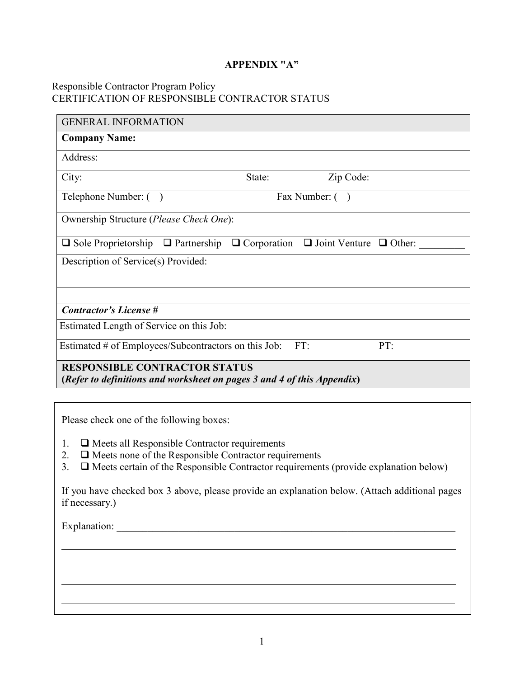### **APPENDIX "A"**

### Responsible Contractor Program Policy CERTIFICATION OF RESPONSIBLE CONTRACTOR STATUS

| <b>GENERAL INFORMATION</b>                                                                                     |        |                                                       |     |  |
|----------------------------------------------------------------------------------------------------------------|--------|-------------------------------------------------------|-----|--|
| <b>Company Name:</b>                                                                                           |        |                                                       |     |  |
| Address:                                                                                                       |        |                                                       |     |  |
| City:                                                                                                          | State: | Zip Code:                                             |     |  |
| Telephone Number: ()                                                                                           |        | Fax Number: ()                                        |     |  |
| Ownership Structure (Please Check One):                                                                        |        |                                                       |     |  |
| $\Box$ Sole Proprietorship $\Box$ Partnership                                                                  |        | $\Box$ Corporation $\Box$ Joint Venture $\Box$ Other: |     |  |
| Description of Service(s) Provided:                                                                            |        |                                                       |     |  |
|                                                                                                                |        |                                                       |     |  |
|                                                                                                                |        |                                                       |     |  |
| <b>Contractor's License #</b>                                                                                  |        |                                                       |     |  |
| Estimated Length of Service on this Job:                                                                       |        |                                                       |     |  |
| Estimated # of Employees/Subcontractors on this Job:                                                           |        | FT:                                                   | PT: |  |
| <b>RESPONSIBLE CONTRACTOR STATUS</b><br>(Refer to definitions and worksheet on pages 3 and 4 of this Appendix) |        |                                                       |     |  |

Please check one of the following boxes:

- 1.  $\Box$  Meets all Responsible Contractor requirements
- 2.  $\Box$  Meets none of the Responsible Contractor requirements
- 3.  $\Box$  Meets certain of the Responsible Contractor requirements (provide explanation below)

If you have checked box 3 above, please provide an explanation below. (Attach additional pages if necessary.)

<u> 1989 - Johann Stoff, amerikansk politiker (d. 1989)</u>

Explanation: \_\_\_\_\_\_\_\_\_\_\_\_\_\_\_\_\_\_\_\_\_\_\_\_\_\_\_\_\_\_\_\_\_\_\_\_\_\_\_\_\_\_\_\_\_\_\_\_\_\_\_\_\_\_\_\_\_\_\_\_\_\_\_\_\_\_

<u> 1989 - Johann Stoff, amerikansk politiker (d. 1989)</u>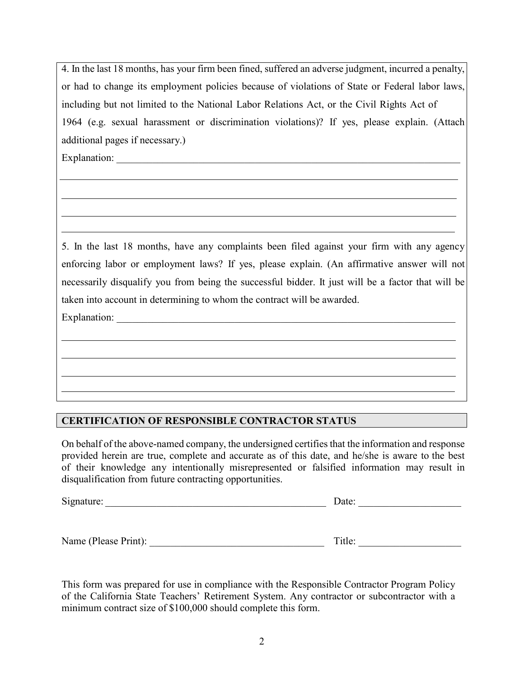4. In the last 18 months, has your firm been fined, suffered an adverse judgment, incurred a penalty, or had to change its employment policies because of violations of State or Federal labor laws, including but not limited to the National Labor Relations Act, or the Civil Rights Act of 1964 (e.g. sexual harassment or discrimination violations)? If yes, please explain. (Attach additional pages if necessary.)

Explanation:

5. In the last 18 months, have any complaints been filed against your firm with any agency enforcing labor or employment laws? If yes, please explain. (An affirmative answer will not necessarily disqualify you from being the successful bidder. It just will be a factor that will be taken into account in determining to whom the contract will be awarded.

Explanation:  $\Box$ 

# **CERTIFICATION OF RESPONSIBLE CONTRACTOR STATUS**

On behalf of the above-named company, the undersigned certifies that the information and response provided herein are true, complete and accurate as of this date, and he/she is aware to the best of their knowledge any intentionally misrepresented or falsified information may result in disqualification from future contracting opportunities.

| Signature: | )ate: |
|------------|-------|
|------------|-------|

Name (Please Print): \_\_\_\_\_\_\_\_\_\_\_\_\_\_\_\_\_\_\_\_\_\_\_\_\_\_\_\_\_\_\_\_\_\_ Title: \_\_\_\_\_\_\_\_\_\_\_\_\_\_\_\_\_\_\_\_

This form was prepared for use in compliance with the Responsible Contractor Program Policy of the California State Teachers' Retirement System. Any contractor or subcontractor with a minimum contract size of \$100,000 should complete this form.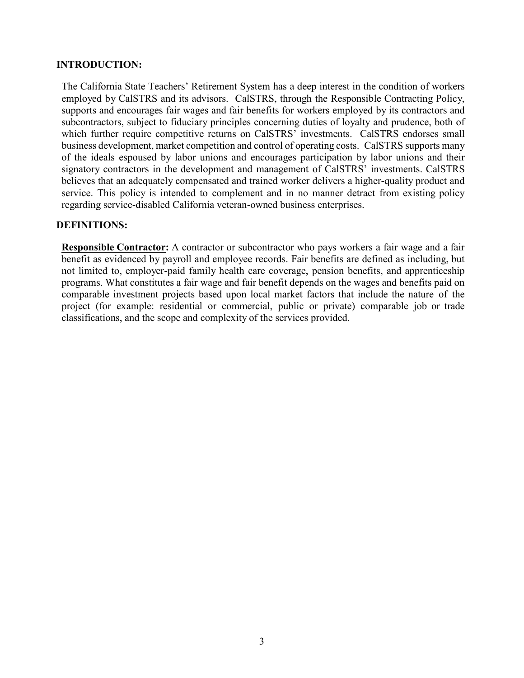### **INTRODUCTION:**

The California State Teachers' Retirement System has a deep interest in the condition of workers employed by CalSTRS and its advisors. CalSTRS, through the Responsible Contracting Policy, supports and encourages fair wages and fair benefits for workers employed by its contractors and subcontractors, subject to fiduciary principles concerning duties of loyalty and prudence, both of which further require competitive returns on CalSTRS' investments. CalSTRS endorses small business development, market competition and control of operating costs. CalSTRS supports many of the ideals espoused by labor unions and encourages participation by labor unions and their signatory contractors in the development and management of CalSTRS' investments. CalSTRS believes that an adequately compensated and trained worker delivers a higher-quality product and service. This policy is intended to complement and in no manner detract from existing policy regarding service-disabled California veteran-owned business enterprises.

#### **DEFINITIONS:**

**Responsible Contractor:** A contractor or subcontractor who pays workers a fair wage and a fair benefit as evidenced by payroll and employee records. Fair benefits are defined as including, but not limited to, employer-paid family health care coverage, pension benefits, and apprenticeship programs. What constitutes a fair wage and fair benefit depends on the wages and benefits paid on comparable investment projects based upon local market factors that include the nature of the project (for example: residential or commercial, public or private) comparable job or trade classifications, and the scope and complexity of the services provided.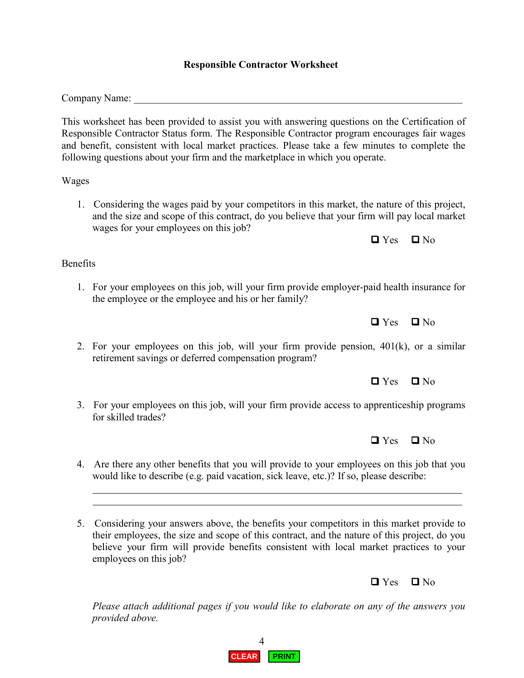## **Responsible Contractor Worksheet**

Company Name:

This worksheet has been provided to assist you with answering questions on the Certification of Responsible Contractor Status form. The Responsible Contractor program encourages fair wages and benefit, consistent with local market practices. Please take a few minutes to complete the following questions about your firm and the marketplace in which you operate.

Wages

1. Considering the wages paid by your competitors in this market, the nature of this project, and the size and scope of this contract, do you believe that your firm will pay local market wages for your employees on this job?

 $\Box$  Yes  $\Box$  No

Benefits

1. For your employees on this job, will your firm provide employer-paid health insurance for the employee or the employee and his or her family?

 $\Box$  Yes  $\Box$  No

2. For your employees on this job, will your firm provide pension,  $401(k)$ , or a similar retirement savings or deferred compensation program?

 $\Box$  Yes  $\Box$  No

3. For your employees on this job, will your firm provide access to apprenticeship programs for skilled trades?

4. Are there any other benefits that you will provide to your employees on this job that you would like to describe (e.g. paid vacation, sick leave, etc.)? If so, please describe:

5. Considering your answers above, the benefits your competitors in this market provide to their employees, the size and scope of this contract, and the nature of this project, do you believe your firm will provide benefits consistent with local market practices to your employees on this job?

*Please attach additional pages if you would like to elaborate on any of the answers you provided above.*

 $\Box$  Yes  $\Box$  No

 $\Box$  Yes  $\Box$  No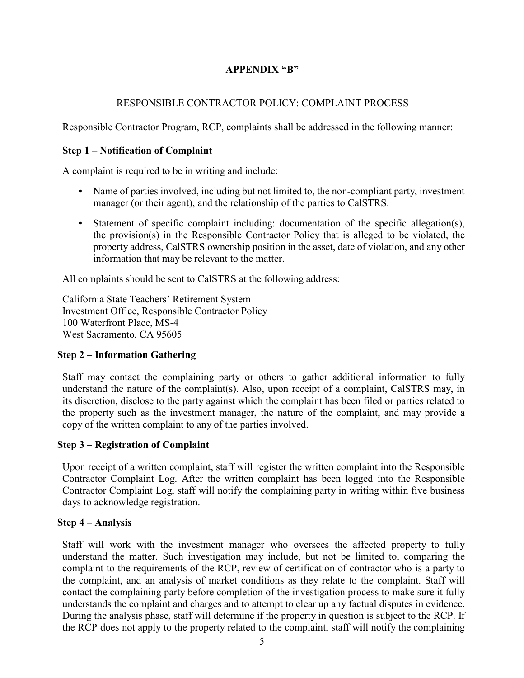# **APPENDIX "B"**

## RESPONSIBLE CONTRACTOR POLICY: COMPLAINT PROCESS

Responsible Contractor Program, RCP, complaints shall be addressed in the following manner:

### **Step 1 – Notification of Complaint**

A complaint is required to be in writing and include:

- Name of parties involved, including but not limited to, the non-compliant party, investment manager (or their agent), and the relationship of the parties to CalSTRS.
- Statement of specific complaint including: documentation of the specific allegation(s), the provision(s) in the Responsible Contractor Policy that is alleged to be violated, the property address, CalSTRS ownership position in the asset, date of violation, and any other information that may be relevant to the matter.

All complaints should be sent to CalSTRS at the following address:

California State Teachers' Retirement System Investment Office, Responsible Contractor Policy 100 Waterfront Place, MS-4 West Sacramento, CA 95605

### **Step 2 – Information Gathering**

Staff may contact the complaining party or others to gather additional information to fully understand the nature of the complaint(s). Also, upon receipt of a complaint, CalSTRS may, in its discretion, disclose to the party against which the complaint has been filed or parties related to the property such as the investment manager, the nature of the complaint, and may provide a copy of the written complaint to any of the parties involved.

### **Step 3 – Registration of Complaint**

Upon receipt of a written complaint, staff will register the written complaint into the Responsible Contractor Complaint Log. After the written complaint has been logged into the Responsible Contractor Complaint Log, staff will notify the complaining party in writing within five business days to acknowledge registration.

### **Step 4 – Analysis**

Staff will work with the investment manager who oversees the affected property to fully understand the matter. Such investigation may include, but not be limited to, comparing the complaint to the requirements of the RCP, review of certification of contractor who is a party to the complaint, and an analysis of market conditions as they relate to the complaint. Staff will contact the complaining party before completion of the investigation process to make sure it fully understands the complaint and charges and to attempt to clear up any factual disputes in evidence. During the analysis phase, staff will determine if the property in question is subject to the RCP. If the RCP does not apply to the property related to the complaint, staff will notify the complaining